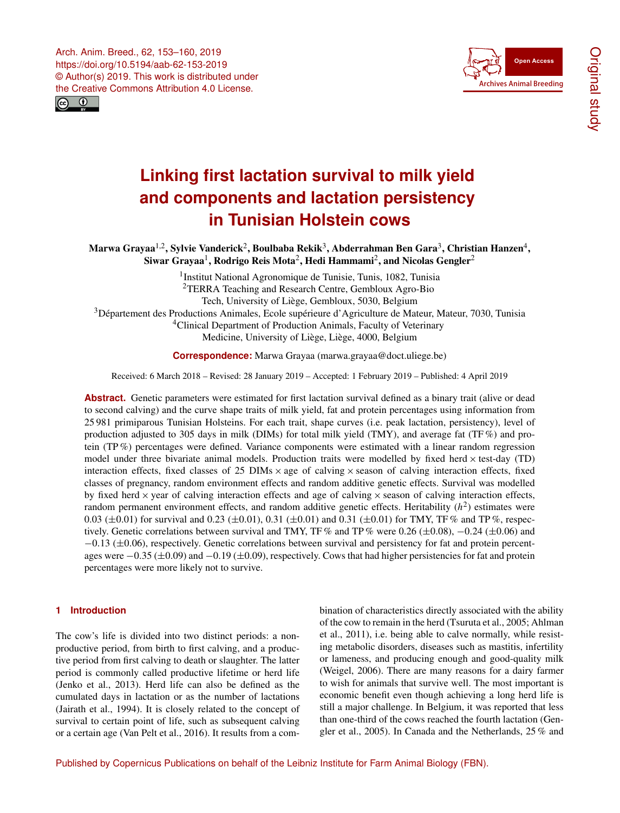<span id="page-0-1"></span>Arch. Anim. Breed., 62, 153–160, 2019 https://doi.org/10.5194/aab-62-153-2019 © Author(s) 2019. This work is distributed under the Creative Commons Attribution 4.0 License.





# **Linking first lactation survival to milk yield and components and lactation persistency in Tunisian Holstein cows**

Marwa Grayaa $^{1,2}$  $^{1,2}$  $^{1,2}$ , Sylvie Vanderick $^{2}$  $^{2}$  $^{2}$ , Boulbaba Rekik $^{3}$  $^{3}$  $^{3}$ , Abderrahman Ben Gara $^{3}$ , Christian Hanzen $^{4}$  $^{4}$  $^{4}$ , Siwar Grayaa $^1$  $^1$ , Rodrigo Reis Mota $^2$  $^2$ , Hedi Hammami $^2$ , and Nicolas Gengler $^2$ 

> <sup>1</sup>Institut National Agronomique de Tunisie, Tunis, 1082, Tunisia <sup>2</sup>TERRA Teaching and Research Centre, Gembloux Agro-Bio Tech, University of Liège, Gembloux, 5030, Belgium

<sup>3</sup>Département des Productions Animales, Ecole supérieure d'Agriculture de Mateur, Mateur, 7030, Tunisia

<sup>4</sup>Clinical Department of Production Animals, Faculty of Veterinary

Medicine, University of Liège, Liège, 4000, Belgium

**Correspondence:** Marwa Grayaa (marwa.grayaa@doct.uliege.be)

Received: 6 March 2018 – Revised: 28 January 2019 – Accepted: 1 February 2019 – Published: 4 April 2019

**Abstract.** Genetic parameters were estimated for first lactation survival defined as a binary trait (alive or dead to second calving) and the curve shape traits of milk yield, fat and protein percentages using information from 25 981 primiparous Tunisian Holsteins. For each trait, shape curves (i.e. peak lactation, persistency), level of production adjusted to 305 days in milk (DIMs) for total milk yield (TMY), and average fat (TF %) and protein (TP %) percentages were defined. Variance components were estimated with a linear random regression model under three bivariate animal models. Production traits were modelled by fixed herd  $\times$  test-day (TD) interaction effects, fixed classes of 25 DIMs  $\times$  age of calving  $\times$  season of calving interaction effects, fixed classes of pregnancy, random environment effects and random additive genetic effects. Survival was modelled by fixed herd  $\times$  year of calving interaction effects and age of calving  $\times$  season of calving interaction effects, random permanent environment effects, and random additive genetic effects. Heritability  $(h^2)$  estimates were 0.03 ( $\pm$ 0.01) for survival and 0.23 ( $\pm$ 0.01), 0.31 ( $\pm$ 0.01) and 0.31 ( $\pm$ 0.01) for TMY, TF% and TP%, respectively. Genetic correlations between survival and TMY, TF% and TP% were 0.26 ( $\pm$ 0.08),  $-0.24$  ( $\pm$ 0.06) and −0.13 (±0.06), respectively. Genetic correlations between survival and persistency for fat and protein percentages were −0.35 (±0.09) and −0.19 (±0.09), respectively. Cows that had higher persistencies for fat and protein percentages were more likely not to survive.

# <span id="page-0-0"></span>**1 Introduction**

The cow's life is divided into two distinct periods: a nonproductive period, from birth to first calving, and a productive period from first calving to death or slaughter. The latter period is commonly called productive lifetime or herd life (Jenko et al., 2013). Herd life can also be defined as the cumulated days in lactation or as the number of lactations (Jairath et al., 1994). It is closely related to the concept of survival to certain point of life, such as subsequent calving or a certain age (Van Pelt et al., 2016). It results from a combination of characteristics directly associated with the ability of the cow to remain in the herd (Tsuruta et al., 2005; Ahlman et al., 2011), i.e. being able to calve normally, while resisting metabolic disorders, diseases such as mastitis, infertility or lameness, and producing enough and good-quality milk (Weigel, 2006). There are many reasons for a dairy farmer to wish for animals that survive well. The most important is economic benefit even though achieving a long herd life is still a major challenge. In Belgium, it was reported that less than one-third of the cows reached the fourth lactation (Gengler et al., 2005). In Canada and the Netherlands, 25 % and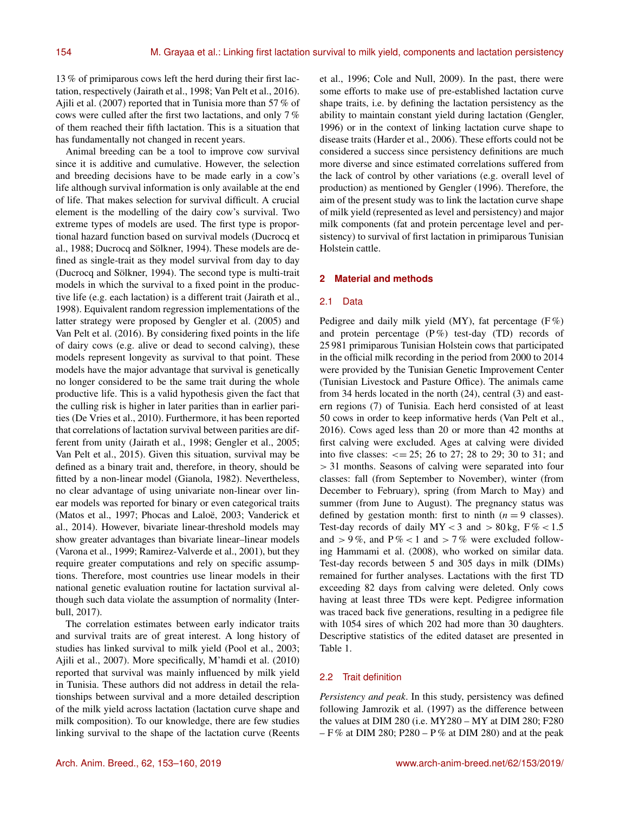13 % of primiparous cows left the herd during their first lactation, respectively (Jairath et al., 1998; Van Pelt et al., 2016). Ajili et al. (2007) reported that in Tunisia more than 57 % of cows were culled after the first two lactations, and only 7 % of them reached their fifth lactation. This is a situation that has fundamentally not changed in recent years.

Animal breeding can be a tool to improve cow survival since it is additive and cumulative. However, the selection and breeding decisions have to be made early in a cow's life although survival information is only available at the end of life. That makes selection for survival difficult. A crucial element is the modelling of the dairy cow's survival. Two extreme types of models are used. The first type is proportional hazard function based on survival models (Ducrocq et al., 1988; Ducrocq and Sölkner, 1994). These models are defined as single-trait as they model survival from day to day (Ducrocq and Sölkner, 1994). The second type is multi-trait models in which the survival to a fixed point in the productive life (e.g. each lactation) is a different trait (Jairath et al., 1998). Equivalent random regression implementations of the latter strategy were proposed by Gengler et al. (2005) and Van Pelt et al. (2016). By considering fixed points in the life of dairy cows (e.g. alive or dead to second calving), these models represent longevity as survival to that point. These models have the major advantage that survival is genetically no longer considered to be the same trait during the whole productive life. This is a valid hypothesis given the fact that the culling risk is higher in later parities than in earlier parities (De Vries et al., 2010). Furthermore, it has been reported that correlations of lactation survival between parities are different from unity (Jairath et al., 1998; Gengler et al., 2005; Van Pelt et al., 2015). Given this situation, survival may be defined as a binary trait and, therefore, in theory, should be fitted by a non-linear model (Gianola, 1982). Nevertheless, no clear advantage of using univariate non-linear over linear models was reported for binary or even categorical traits (Matos et al., 1997; Phocas and Laloë, 2003; Vanderick et al., 2014). However, bivariate linear-threshold models may show greater advantages than bivariate linear–linear models (Varona et al., 1999; Ramirez-Valverde et al., 2001), but they require greater computations and rely on specific assumptions. Therefore, most countries use linear models in their national genetic evaluation routine for lactation survival although such data violate the assumption of normality (Interbull, 2017).

The correlation estimates between early indicator traits and survival traits are of great interest. A long history of studies has linked survival to milk yield (Pool et al., 2003; Ajili et al., 2007). More specifically, M'hamdi et al. (2010) reported that survival was mainly influenced by milk yield in Tunisia. These authors did not address in detail the relationships between survival and a more detailed description of the milk yield across lactation (lactation curve shape and milk composition). To our knowledge, there are few studies linking survival to the shape of the lactation curve (Reents et al., 1996; Cole and Null, 2009). In the past, there were some efforts to make use of pre-established lactation curve shape traits, i.e. by defining the lactation persistency as the ability to maintain constant yield during lactation (Gengler, 1996) or in the context of linking lactation curve shape to disease traits (Harder et al., 2006). These efforts could not be considered a success since persistency definitions are much more diverse and since estimated correlations suffered from the lack of control by other variations (e.g. overall level of production) as mentioned by Gengler (1996). Therefore, the aim of the present study was to link the lactation curve shape of milk yield (represented as level and persistency) and major milk components (fat and protein percentage level and persistency) to survival of first lactation in primiparous Tunisian Holstein cattle.

# **2 Material and methods**

#### 2.1 Data

Pedigree and daily milk yield (MY), fat percentage  $(F\%)$ and protein percentage  $(P\%)$  test-day (TD) records of 25 981 primiparous Tunisian Holstein cows that participated in the official milk recording in the period from 2000 to 2014 were provided by the Tunisian Genetic Improvement Center (Tunisian Livestock and Pasture Office). The animals came from 34 herds located in the north (24), central (3) and eastern regions (7) of Tunisia. Each herd consisted of at least 50 cows in order to keep informative herds (Van Pelt et al., 2016). Cows aged less than 20 or more than 42 months at first calving were excluded. Ages at calving were divided into five classes:  $\epsilon = 25$ ; 26 to 27; 28 to 29; 30 to 31; and > 31 months. Seasons of calving were separated into four classes: fall (from September to November), winter (from December to February), spring (from March to May) and summer (from June to August). The pregnancy status was defined by gestation month: first to ninth  $(n = 9$  classes). Test-day records of daily  $MY < 3$  and  $> 80$  kg,  $F\% < 1.5$ and  $> 9\%$ , and  $P\% < 1$  and  $> 7\%$  were excluded following Hammami et al. (2008), who worked on similar data. Test-day records between 5 and 305 days in milk (DIMs) remained for further analyses. Lactations with the first TD exceeding 82 days from calving were deleted. Only cows having at least three TDs were kept. Pedigree information was traced back five generations, resulting in a pedigree file with 1054 sires of which 202 had more than 30 daughters. Descriptive statistics of the edited dataset are presented in Table 1.

# 2.2 Trait definition

*Persistency and peak*. In this study, persistency was defined following Jamrozik et al. (1997) as the difference between the values at DIM 280 (i.e. MY280 – MY at DIM 280; F280  $- F$ % at DIM 280; P280 – P% at DIM 280) and at the peak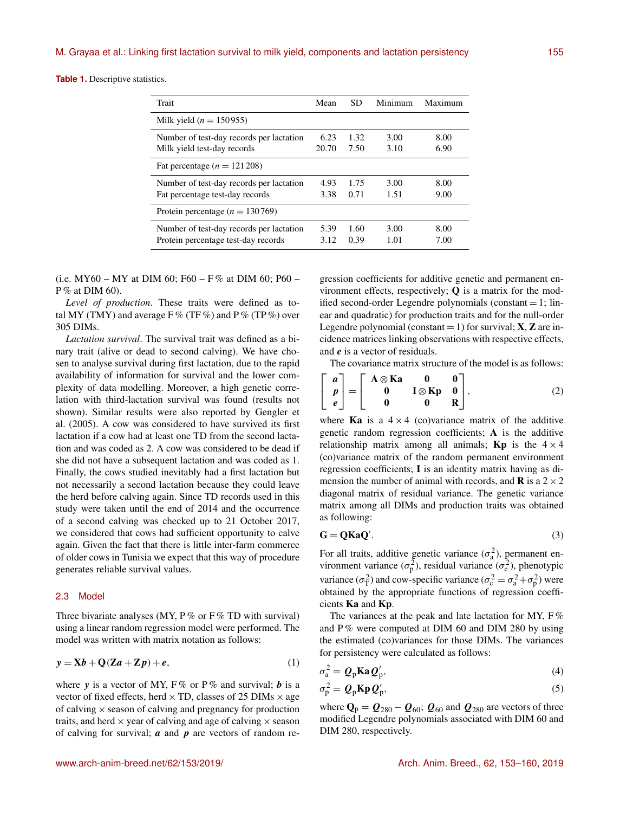**Table 1.** Descriptive statistics.

| Trait                                    | Mean  | <b>SD</b> | Minimum | Maximum |
|------------------------------------------|-------|-----------|---------|---------|
| Milk yield ( $n = 150955$ )              |       |           |         |         |
| Number of test-day records per lactation | 6.23  | 1.32      | 3.00    | 8.00    |
| Milk yield test-day records              | 20.70 | 7.50      | 3.10    | 6.90    |
| Fat percentage $(n = 121208)$            |       |           |         |         |
| Number of test-day records per lactation | 4.93  | 1.75      | 3.00    | 8.00    |
| Fat percentage test-day records          | 3.38  | 0.71      | 1.51    | 9.00    |
| Protein percentage ( $n = 130769$ )      |       |           |         |         |
| Number of test-day records per lactation | 5.39  | 1.60      | 3.00    | 8.00    |
| Protein percentage test-day records      | 3.12  | 0.39      | 101     | 7.00    |

(i.e. MY60 – MY at DIM 60; F60 – F% at DIM 60; P60 – P % at DIM 60).

*Level of production*. These traits were defined as total MY (TMY) and average  $F$ % (TF%) and P% (TP%) over 305 DIMs.

*Lactation survival*. The survival trait was defined as a binary trait (alive or dead to second calving). We have chosen to analyse survival during first lactation, due to the rapid availability of information for survival and the lower complexity of data modelling. Moreover, a high genetic correlation with third-lactation survival was found (results not shown). Similar results were also reported by Gengler et al. (2005). A cow was considered to have survived its first lactation if a cow had at least one TD from the second lactation and was coded as 2. A cow was considered to be dead if she did not have a subsequent lactation and was coded as 1. Finally, the cows studied inevitably had a first lactation but not necessarily a second lactation because they could leave the herd before calving again. Since TD records used in this study were taken until the end of 2014 and the occurrence of a second calving was checked up to 21 October 2017, we considered that cows had sufficient opportunity to calve again. Given the fact that there is little inter-farm commerce of older cows in Tunisia we expect that this way of procedure generates reliable survival values.

# 2.3 Model

Three bivariate analyses (MY,  $P\%$  or  $F\%$  TD with survival) using a linear random regression model were performed. The model was written with matrix notation as follows:

$$
y = Xb + Q(Za + Zp) + e,
$$
 (1)

where y is a vector of MY,  $F\%$  or P% and survival; b is a vector of fixed effects, herd  $\times$  TD, classes of 25 DIMs  $\times$  age of calving  $\times$  season of calving and pregnancy for production traits, and herd  $\times$  year of calving and age of calving  $\times$  season of calving for survival;  $\boldsymbol{a}$  and  $\boldsymbol{p}$  are vectors of random re-

gression coefficients for additive genetic and permanent environment effects, respectively;  $Q$  is a matrix for the modified second-order Legendre polynomials (constant  $= 1$ ; linear and quadratic) for production traits and for the null-order Legendre polynomial (constant  $= 1$ ) for survival; **X**, **Z** are incidence matrices linking observations with respective effects, and e is a vector of residuals.

The covariance matrix structure of the model is as follows:

$$
\begin{bmatrix} a \\ p \\ e \end{bmatrix} = \begin{bmatrix} A \otimes \mathbf{K}a & 0 & 0 \\ 0 & I \otimes \mathbf{K}p & 0 \\ 0 & 0 & \mathbf{R} \end{bmatrix},
$$
 (2)

where **Ka** is a  $4 \times 4$  (co)variance matrix of the additive genetic random regression coefficients; A is the additive relationship matrix among all animals; **Kp** is the  $4 \times 4$ (co)variance matrix of the random permanent environment regression coefficients; I is an identity matrix having as dimension the number of animal with records, and **R** is a  $2 \times 2$ diagonal matrix of residual variance. The genetic variance matrix among all DIMs and production traits was obtained as following:

$$
G = QKaQ'.
$$
 (3)

For all traits, additive genetic variance  $(\sigma_a^2)$ , permanent environment variance  $(\sigma_p^2)$ , residual variance  $(\sigma_e^2)$ , phenotypic variance ( $\sigma_{\rm T}^2$ ) and cow-specific variance ( $\sigma_{\rm c}^2 = \sigma_{\rm a}^2 + \sigma_{\rm p}^2$ ) were obtained by the appropriate functions of regression coefficients Ka and Kp.

The variances at the peak and late lactation for MY,  $F\%$ and  $P\%$  were computed at DIM 60 and DIM 280 by using the estimated (co)variances for those DIMs. The variances for persistency were calculated as follows:

$$
\sigma_{\rm a}^2 = \mathcal{Q}_{\rm p} \mathbf{K} \mathbf{a} \mathcal{Q}_{\rm p}',\tag{4}
$$

$$
\sigma_{\rm p}^2 = \mathcal{Q}_{\rm p} \mathbf{K} \mathbf{p} \mathcal{Q}_{\rm p}',\tag{5}
$$

where  $\mathbf{Q}_p = \mathbf{Q}_{280} - \mathbf{Q}_{60}$ ;  $\mathbf{Q}_{60}$  and  $\mathbf{Q}_{280}$  are vectors of three modified Legendre polynomials associated with DIM 60 and DIM 280, respectively.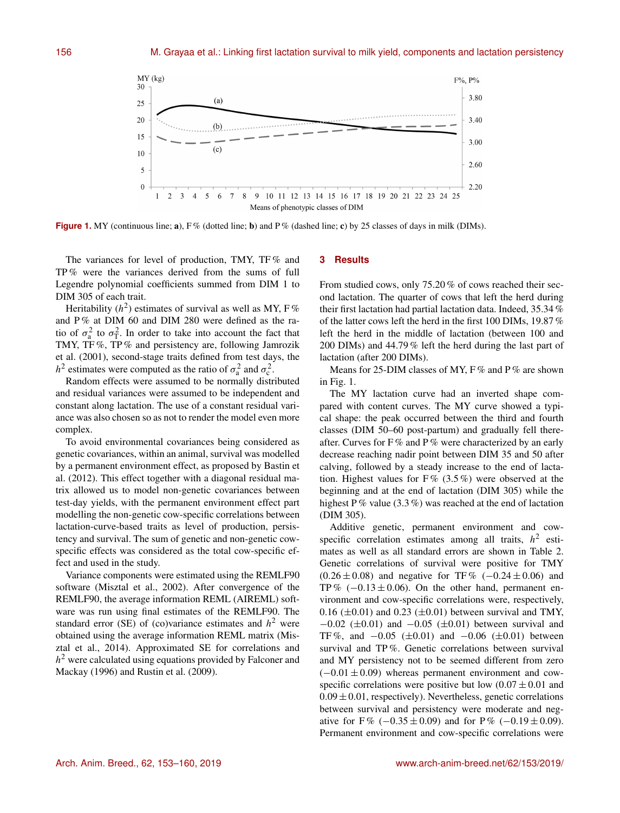

**Figure 1.** MY (continuous line; a), F% (dotted line; b) and P% (dashed line; c) by 25 classes of days in milk (DIMs).

The variances for level of production, TMY, TF % and TP % were the variances derived from the sums of full Legendre polynomial coefficients summed from DIM 1 to DIM 305 of each trait.

Heritability ( $h^2$ ) estimates of survival as well as MY, F% and P% at DIM 60 and DIM 280 were defined as the ratio of  $\sigma_a^2$  to  $\sigma_T^2$ . In order to take into account the fact that TMY, TF %, TP % and persistency are, following Jamrozik et al. (2001), second-stage traits defined from test days, the  $h^2$  estimates were computed as the ratio of  $\sigma_a^2$  and  $\sigma_c^2$ .

Random effects were assumed to be normally distributed and residual variances were assumed to be independent and constant along lactation. The use of a constant residual variance was also chosen so as not to render the model even more complex.

To avoid environmental covariances being considered as genetic covariances, within an animal, survival was modelled by a permanent environment effect, as proposed by Bastin et al. (2012). This effect together with a diagonal residual matrix allowed us to model non-genetic covariances between test-day yields, with the permanent environment effect part modelling the non-genetic cow-specific correlations between lactation-curve-based traits as level of production, persistency and survival. The sum of genetic and non-genetic cowspecific effects was considered as the total cow-specific effect and used in the study.

Variance components were estimated using the REMLF90 software (Misztal et al., 2002). After convergence of the REMLF90, the average information REML (AIREML) software was run using final estimates of the REMLF90. The standard error (SE) of (co)variance estimates and  $h^2$  were obtained using the average information REML matrix (Misztal et al., 2014). Approximated SE for correlations and  $h<sup>2</sup>$  were calculated using equations provided by Falconer and Mackay (1996) and Rustin et al. (2009).

# **3 Results**

From studied cows, only 75.20 % of cows reached their second lactation. The quarter of cows that left the herd during their first lactation had partial lactation data. Indeed, 35.34 % of the latter cows left the herd in the first 100 DIMs, 19.87 % left the herd in the middle of lactation (between 100 and 200 DIMs) and 44.79 % left the herd during the last part of lactation (after 200 DIMs).

Means for 25-DIM classes of MY,  $F\%$  and  $P\%$  are shown in Fig. 1.

The MY lactation curve had an inverted shape compared with content curves. The MY curve showed a typical shape: the peak occurred between the third and fourth classes (DIM 50–60 post-partum) and gradually fell thereafter. Curves for F % and P % were characterized by an early decrease reaching nadir point between DIM 35 and 50 after calving, followed by a steady increase to the end of lactation. Highest values for F%  $(3.5\%)$  were observed at the beginning and at the end of lactation (DIM 305) while the highest P% value  $(3.3\%)$  was reached at the end of lactation (DIM 305).

Additive genetic, permanent environment and cowspecific correlation estimates among all traits,  $h^2$  estimates as well as all standard errors are shown in Table 2. Genetic correlations of survival were positive for TMY  $(0.26 \pm 0.08)$  and negative for TF%  $(-0.24 \pm 0.06)$  and TP%  $(-0.13 \pm 0.06)$ . On the other hand, permanent environment and cow-specific correlations were, respectively, 0.16 ( $\pm$ 0.01) and 0.23 ( $\pm$ 0.01) between survival and TMY,  $-0.02$  ( $\pm 0.01$ ) and  $-0.05$  ( $\pm 0.01$ ) between survival and TF%, and  $-0.05$  ( $\pm 0.01$ ) and  $-0.06$  ( $\pm 0.01$ ) between survival and TP %. Genetic correlations between survival and MY persistency not to be seemed different from zero  $(-0.01 \pm 0.09)$  whereas permanent environment and cowspecific correlations were positive but low  $(0.07 \pm 0.01)$  and  $0.09 \pm 0.01$ , respectively). Nevertheless, genetic correlations between survival and persistency were moderate and negative for F% (−0.35 ± 0.09) and for P% (−0.19 ± 0.09). Permanent environment and cow-specific correlations were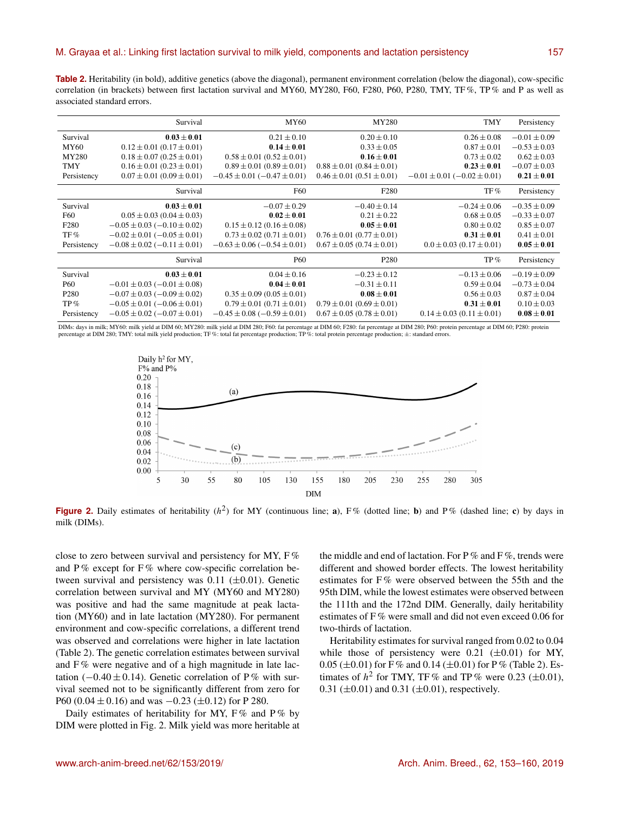**Table 2.** Heritability (in bold), additive genetics (above the diagonal), permanent environment correlation (below the diagonal), cow-specific correlation (in brackets) between first lactation survival and MY60, MY280, F60, F280, P60, P280, TMY, TF %, TP % and P as well as associated standard errors.

|                  | Survival                              | MY60                                  | MY280                             | <b>TMY</b>                            | Persistency      |
|------------------|---------------------------------------|---------------------------------------|-----------------------------------|---------------------------------------|------------------|
| Survival         | $0.03 \pm 0.01$                       | $0.21 \pm 0.10$                       | $0.20 \pm 0.10$                   | $0.26 \pm 0.08$                       | $-0.01 \pm 0.09$ |
| MY60             | $0.12 \pm 0.01$ (0.17 $\pm$ 0.01)     | $0.14 \pm 0.01$                       | $0.33 \pm 0.05$                   | $0.87 \pm 0.01$                       | $-0.53 \pm 0.03$ |
| MY280            | $0.18 \pm 0.07$ (0.25 $\pm$ 0.01)     | $0.58 \pm 0.01$ $(0.52 \pm 0.01)$     | $0.16 \pm 0.01$                   | $0.73 \pm 0.02$                       | $0.62 \pm 0.03$  |
| <b>TMY</b>       | $0.16 \pm 0.01$ (0.23 $\pm$ 0.01)     | $0.89 \pm 0.01$ (0.89 $\pm$ 0.01)     | $0.88 \pm 0.01$ (0.84 $\pm$ 0.01) | $0.23 \pm 0.01$                       | $-0.07 \pm 0.03$ |
| Persistency      | $0.07 \pm 0.01$ (0.09 $\pm$ 0.01)     | $-0.45 \pm 0.01$ ( $-0.47 \pm 0.01$ ) | $0.46 \pm 0.01$ $(0.51 \pm 0.01)$ | $-0.01 \pm 0.01$ ( $-0.02 \pm 0.01$ ) | $0.21 \pm 0.01$  |
|                  | Survival                              | F60                                   | F <sub>280</sub>                  | TF%                                   | Persistency      |
| Survival         | $0.03 \pm 0.01$                       | $-0.07 \pm 0.29$                      | $-0.40 \pm 0.14$                  | $-0.24 \pm 0.06$                      | $-0.35 \pm 0.09$ |
| F60              | $0.05 \pm 0.03$ (0.04 $\pm$ 0.03)     | $0.02 \pm 0.01$                       | $0.21 \pm 0.22$                   | $0.68 \pm 0.05$                       | $-0.33 \pm 0.07$ |
| F <sub>280</sub> | $-0.05 \pm 0.03$ ( $-0.10 \pm 0.02$ ) | $0.15 \pm 0.12$ (0.16 $\pm$ 0.08)     | $0.05 \pm 0.01$                   | $0.80 \pm 0.02$                       | $0.85 \pm 0.07$  |
| TF%              | $-0.02 \pm 0.01$ ( $-0.05 \pm 0.01$ ) | $0.73 \pm 0.02$ (0.71 $\pm$ 0.01)     | $0.76 \pm 0.01$ (0.77 $\pm$ 0.01) | $0.31 \pm 0.01$                       | $0.41 \pm 0.01$  |
| Persistency      | $-0.08 \pm 0.02$ ( $-0.11 \pm 0.01$ ) | $-0.63 \pm 0.06$ ( $-0.54 \pm 0.01$ ) | $0.67 \pm 0.05$ (0.74 $\pm$ 0.01) | $0.0 \pm 0.03$ (0.17 $\pm$ 0.01)      | $0.05 \pm 0.01$  |
|                  | Survival                              | <b>P60</b>                            | P <sub>280</sub>                  | $TP\%$                                | Persistency      |
| Survival         | $0.03 \pm 0.01$                       | $0.04 \pm 0.16$                       | $-0.23 \pm 0.12$                  | $-0.13 \pm 0.06$                      | $-0.19 \pm 0.09$ |
| <b>P60</b>       | $-0.01 \pm 0.03$ ( $-0.01 \pm 0.08$ ) | $0.04 \pm 0.01$                       | $-0.31 \pm 0.11$                  | $0.59 \pm 0.04$                       | $-0.73 \pm 0.04$ |
| P <sub>280</sub> | $-0.07 \pm 0.03$ ( $-0.09 \pm 0.02$ ) | $0.35 \pm 0.09$ (0.05 $\pm$ 0.01)     | $0.08 \pm 0.01$                   | $0.56 \pm 0.03$                       | $0.87 \pm 0.04$  |
| $TP\%$           | $-0.05 \pm 0.01 (-0.06 \pm 0.01)$     | $0.79 \pm 0.01$ (0.71 $\pm$ 0.01)     | $0.79 \pm 0.01$ (0.69 $\pm$ 0.01) | $0.31 \pm 0.01$                       | $0.10 \pm 0.03$  |
| Persistency      | $-0.05 \pm 0.02$ ( $-0.07 \pm 0.01$ ) | $-0.45 \pm 0.08$ ( $-0.59 \pm 0.01$ ) | $0.67 \pm 0.05$ (0.78 $\pm$ 0.01) | $0.14 \pm 0.03$ $(0.11 \pm 0.01)$     | $0.08 \pm 0.01$  |

DIMs: days in milk; MY60: milk yield at DIM 60; MY280: milk yield at DIM 280; F60: fat percentage at DIM 60; F280: fat percentage at DIM 280; P60: protein percentage at DIM 60; P280: protein percentage at DIM 280; TMY: total milk yield production; TF %: total fat percentage production; TP %: total protein percentage production; ±: standard errors.



Figure 2. Daily estimates of heritability  $(h^2)$  for MY (continuous line; a), F% (dotted line; b) and P% (dashed line; c) by days in milk (DIMs).

close to zero between survival and persistency for MY, F % and  $P\%$  except for  $F\%$  where cow-specific correlation between survival and persistency was  $0.11$  ( $\pm 0.01$ ). Genetic correlation between survival and MY (MY60 and MY280) was positive and had the same magnitude at peak lactation (MY60) and in late lactation (MY280). For permanent environment and cow-specific correlations, a different trend was observed and correlations were higher in late lactation (Table 2). The genetic correlation estimates between survival and  $F\%$  were negative and of a high magnitude in late lactation ( $-0.40 \pm 0.14$ ). Genetic correlation of P% with survival seemed not to be significantly different from zero for P60 (0.04  $\pm$  0.16) and was  $-0.23$  ( $\pm$ 0.12) for P 280.

Daily estimates of heritability for MY,  $F\%$  and  $P\%$  by DIM were plotted in Fig. 2. Milk yield was more heritable at the middle and end of lactation. For  $P\%$  and  $F\%$ , trends were different and showed border effects. The lowest heritability estimates for F % were observed between the 55th and the 95th DIM, while the lowest estimates were observed between the 111th and the 172nd DIM. Generally, daily heritability estimates of F % were small and did not even exceed 0.06 for two-thirds of lactation.

Heritability estimates for survival ranged from 0.02 to 0.04 while those of persistency were  $0.21$  ( $\pm 0.01$ ) for MY, 0.05 ( $\pm$ 0.01) for F% and 0.14 ( $\pm$ 0.01) for P% (Table 2). Estimates of  $h^2$  for TMY, TF% and TP% were 0.23 ( $\pm$ 0.01), 0.31 ( $\pm$ 0.01) and 0.31 ( $\pm$ 0.01), respectively.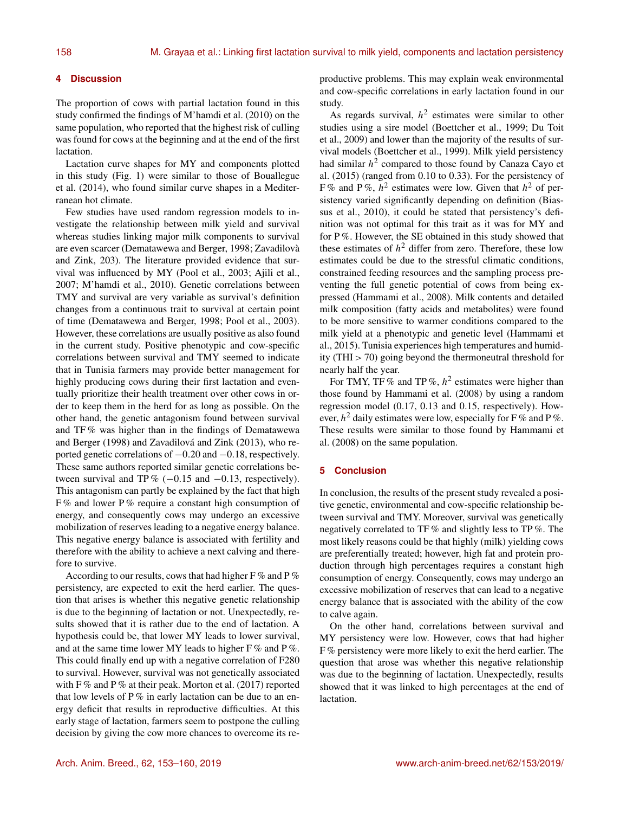# **4 Discussion**

The proportion of cows with partial lactation found in this study confirmed the findings of M'hamdi et al. (2010) on the same population, who reported that the highest risk of culling was found for cows at the beginning and at the end of the first lactation.

Lactation curve shapes for MY and components plotted in this study (Fig. 1) were similar to those of Bouallegue et al. (2014), who found similar curve shapes in a Mediterranean hot climate.

Few studies have used random regression models to investigate the relationship between milk yield and survival whereas studies linking major milk components to survival are even scarcer (Dematawewa and Berger, 1998; Zavadilovà and Zink, 203). The literature provided evidence that survival was influenced by MY (Pool et al., 2003; Ajili et al., 2007; M'hamdi et al., 2010). Genetic correlations between TMY and survival are very variable as survival's definition changes from a continuous trait to survival at certain point of time (Dematawewa and Berger, 1998; Pool et al., 2003). However, these correlations are usually positive as also found in the current study. Positive phenotypic and cow-specific correlations between survival and TMY seemed to indicate that in Tunisia farmers may provide better management for highly producing cows during their first lactation and eventually prioritize their health treatment over other cows in order to keep them in the herd for as long as possible. On the other hand, the genetic antagonism found between survival and TF % was higher than in the findings of Dematawewa and Berger (1998) and Zavadilová and Zink (2013), who reported genetic correlations of −0.20 and −0.18, respectively. These same authors reported similar genetic correlations between survival and TP%  $(-0.15 \text{ and } -0.13, \text{ respectively}).$ This antagonism can partly be explained by the fact that high  $F\%$  and lower P% require a constant high consumption of energy, and consequently cows may undergo an excessive mobilization of reserves leading to a negative energy balance. This negative energy balance is associated with fertility and therefore with the ability to achieve a next calving and therefore to survive.

According to our results, cows that had higher  $F$ % and  $P$ % persistency, are expected to exit the herd earlier. The question that arises is whether this negative genetic relationship is due to the beginning of lactation or not. Unexpectedly, results showed that it is rather due to the end of lactation. A hypothesis could be, that lower MY leads to lower survival, and at the same time lower MY leads to higher  $F\%$  and  $P\%$ . This could finally end up with a negative correlation of F280 to survival. However, survival was not genetically associated with F % and P % at their peak. Morton et al.  $(2017)$  reported that low levels of  $P\%$  in early lactation can be due to an energy deficit that results in reproductive difficulties. At this early stage of lactation, farmers seem to postpone the culling decision by giving the cow more chances to overcome its reproductive problems. This may explain weak environmental and cow-specific correlations in early lactation found in our study.

As regards survival,  $h^2$  estimates were similar to other studies using a sire model (Boettcher et al., 1999; Du Toit et al., 2009) and lower than the majority of the results of survival models (Boettcher et al., 1999). Milk yield persistency had similar  $h^2$  compared to those found by Canaza Cayo et al. (2015) (ranged from 0.10 to 0.33). For the persistency of F% and P%,  $h^2$  estimates were low. Given that  $h^2$  of persistency varied significantly depending on definition (Biassus et al., 2010), it could be stated that persistency's definition was not optimal for this trait as it was for MY and for P %. However, the SE obtained in this study showed that these estimates of  $h^2$  differ from zero. Therefore, these low estimates could be due to the stressful climatic conditions, constrained feeding resources and the sampling process preventing the full genetic potential of cows from being expressed (Hammami et al., 2008). Milk contents and detailed milk composition (fatty acids and metabolites) were found to be more sensitive to warmer conditions compared to the milk yield at a phenotypic and genetic level (Hammami et al., 2015). Tunisia experiences high temperatures and humidity (THI > 70) going beyond the thermoneutral threshold for nearly half the year.

For TMY, TF % and TP %,  $h^2$  estimates were higher than those found by Hammami et al. (2008) by using a random regression model (0.17, 0.13 and 0.15, respectively). However,  $h^2$  daily estimates were low, especially for F% and P%. These results were similar to those found by Hammami et al. (2008) on the same population.

# **5 Conclusion**

In conclusion, the results of the present study revealed a positive genetic, environmental and cow-specific relationship between survival and TMY. Moreover, survival was genetically negatively correlated to TF % and slightly less to TP %. The most likely reasons could be that highly (milk) yielding cows are preferentially treated; however, high fat and protein production through high percentages requires a constant high consumption of energy. Consequently, cows may undergo an excessive mobilization of reserves that can lead to a negative energy balance that is associated with the ability of the cow to calve again.

On the other hand, correlations between survival and MY persistency were low. However, cows that had higher F % persistency were more likely to exit the herd earlier. The question that arose was whether this negative relationship was due to the beginning of lactation. Unexpectedly, results showed that it was linked to high percentages at the end of lactation.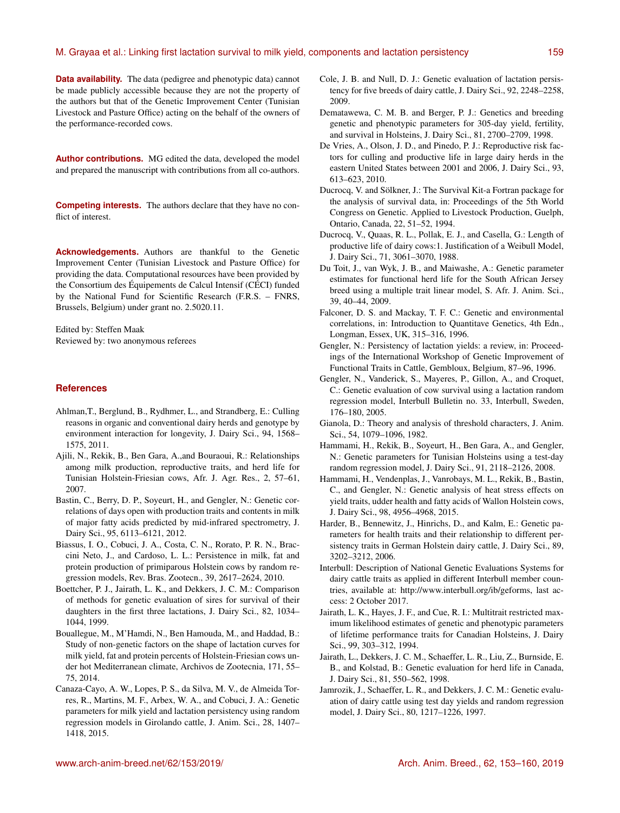**Data availability.** The data (pedigree and phenotypic data) cannot be made publicly accessible because they are not the property of the authors but that of the Genetic Improvement Center (Tunisian Livestock and Pasture Office) acting on the behalf of the owners of the performance-recorded cows.

**Author contributions.** MG edited the data, developed the model and prepared the manuscript with contributions from all co-authors.

**Competing interests.** The authors declare that they have no conflict of interest.

**Acknowledgements.** Authors are thankful to the Genetic Improvement Center (Tunisian Livestock and Pasture Office) for providing the data. Computational resources have been provided by the Consortium des Équipements de Calcul Intensif (CÉCI) funded by the National Fund for Scientific Research (F.R.S. – FNRS, Brussels, Belgium) under grant no. 2.5020.11.

Edited by: Steffen Maak Reviewed by: two anonymous referees

# **References**

- Ahlman,T., Berglund, B., Rydhmer, L., and Strandberg, E.: Culling reasons in organic and conventional dairy herds and genotype by environment interaction for longevity, J. Dairy Sci., 94, 1568– 1575, 2011.
- Ajili, N., Rekik, B., Ben Gara, A.,and Bouraoui, R.: Relationships among milk production, reproductive traits, and herd life for Tunisian Holstein-Friesian cows, Afr. J. Agr. Res., 2, 57–61, 2007.
- Bastin, C., Berry, D. P., Soyeurt, H., and Gengler, N.: Genetic correlations of days open with production traits and contents in milk of major fatty acids predicted by mid-infrared spectrometry, J. Dairy Sci., 95, 6113–6121, 2012.
- Biassus, I. O., Cobuci, J. A., Costa, C. N., Rorato, P. R. N., Braccini Neto, J., and Cardoso, L. L.: Persistence in milk, fat and protein production of primiparous Holstein cows by random regression models, Rev. Bras. Zootecn., 39, 2617–2624, 2010.
- Boettcher, P. J., Jairath, L. K., and Dekkers, J. C. M.: Comparison of methods for genetic evaluation of sires for survival of their daughters in the first three lactations, J. Dairy Sci., 82, 1034– 1044, 1999.
- Bouallegue, M., M'Hamdi, N., Ben Hamouda, M., and Haddad, B.: Study of non-genetic factors on the shape of lactation curves for milk yield, fat and protein percents of Holstein-Friesian cows under hot Mediterranean climate, Archivos de Zootecnia, 171, 55– 75, 2014.
- Canaza-Cayo, A. W., Lopes, P. S., da Silva, M. V., de Almeida Torres, R., Martins, M. F., Arbex, W. A., and Cobuci, J. A.: Genetic parameters for milk yield and lactation persistency using random regression models in Girolando cattle, J. Anim. Sci., 28, 1407– 1418, 2015.
- Cole, J. B. and Null, D. J.: Genetic evaluation of lactation persistency for five breeds of dairy cattle, J. Dairy Sci., 92, 2248–2258, 2009.
- Dematawewa, C. M. B. and Berger, P. J.: Genetics and breeding genetic and phenotypic parameters for 305-day yield, fertility, and survival in Holsteins, J. Dairy Sci., 81, 2700–2709, 1998.
- De Vries, A., Olson, J. D., and Pinedo, P. J.: Reproductive risk factors for culling and productive life in large dairy herds in the eastern United States between 2001 and 2006, J. Dairy Sci., 93, 613–623, 2010.
- Ducrocq, V. and Sölkner, J.: The Survival Kit-a Fortran package for the analysis of survival data, in: Proceedings of the 5th World Congress on Genetic. Applied to Livestock Production, Guelph, Ontario, Canada, 22, 51–52, 1994.
- Ducrocq, V., Quaas, R. L., Pollak, E. J., and Casella, G.: Length of productive life of dairy cows:1. Justification of a Weibull Model, J. Dairy Sci., 71, 3061–3070, 1988.
- Du Toit, J., van Wyk, J. B., and Maiwashe, A.: Genetic parameter estimates for functional herd life for the South African Jersey breed using a multiple trait linear model, S. Afr. J. Anim. Sci., 39, 40–44, 2009.
- Falconer, D. S. and Mackay, T. F. C.: Genetic and environmental correlations, in: Introduction to Quantitave Genetics, 4th Edn., Longman, Essex, UK, 315–316, 1996.
- Gengler, N.: Persistency of lactation yields: a review, in: Proceedings of the International Workshop of Genetic Improvement of Functional Traits in Cattle, Gembloux, Belgium, 87–96, 1996.
- Gengler, N., Vanderick, S., Mayeres, P., Gillon, A., and Croquet, C.: Genetic evaluation of cow survival using a lactation random regression model, Interbull Bulletin no. 33, Interbull, Sweden, 176–180, 2005.
- Gianola, D.: Theory and analysis of threshold characters, J. Anim. Sci., 54, 1079–1096, 1982.
- Hammami, H., Rekik, B., Soyeurt, H., Ben Gara, A., and Gengler, N.: Genetic parameters for Tunisian Holsteins using a test-day random regression model, J. Dairy Sci., 91, 2118–2126, 2008.
- Hammami, H., Vendenplas, J., Vanrobays, M. L., Rekik, B., Bastin, C., and Gengler, N.: Genetic analysis of heat stress effects on yield traits, udder health and fatty acids of Wallon Holstein cows, J. Dairy Sci., 98, 4956–4968, 2015.
- Harder, B., Bennewitz, J., Hinrichs, D., and Kalm, E.: Genetic parameters for health traits and their relationship to different persistency traits in German Holstein dairy cattle, J. Dairy Sci., 89, 3202–3212, 2006.
- Interbull: Description of National Genetic Evaluations Systems for dairy cattle traits as applied in different Interbull member countries, available at: [http://www.interbull.org/ib/geforms,](http://www.interbull.org/ib/geforms) last access: 2 October 2017.
- Jairath, L. K., Hayes, J. F., and Cue, R. I.: Multitrait restricted maximum likelihood estimates of genetic and phenotypic parameters of lifetime performance traits for Canadian Holsteins, J. Dairy Sci., 99, 303–312, 1994.
- Jairath, L., Dekkers, J. C. M., Schaeffer, L. R., Liu, Z., Burnside, E. B., and Kolstad, B.: Genetic evaluation for herd life in Canada, J. Dairy Sci., 81, 550–562, 1998.
- Jamrozik, J., Schaeffer, L. R., and Dekkers, J. C. M.: Genetic evaluation of dairy cattle using test day yields and random regression model, J. Dairy Sci., 80, 1217–1226, 1997.